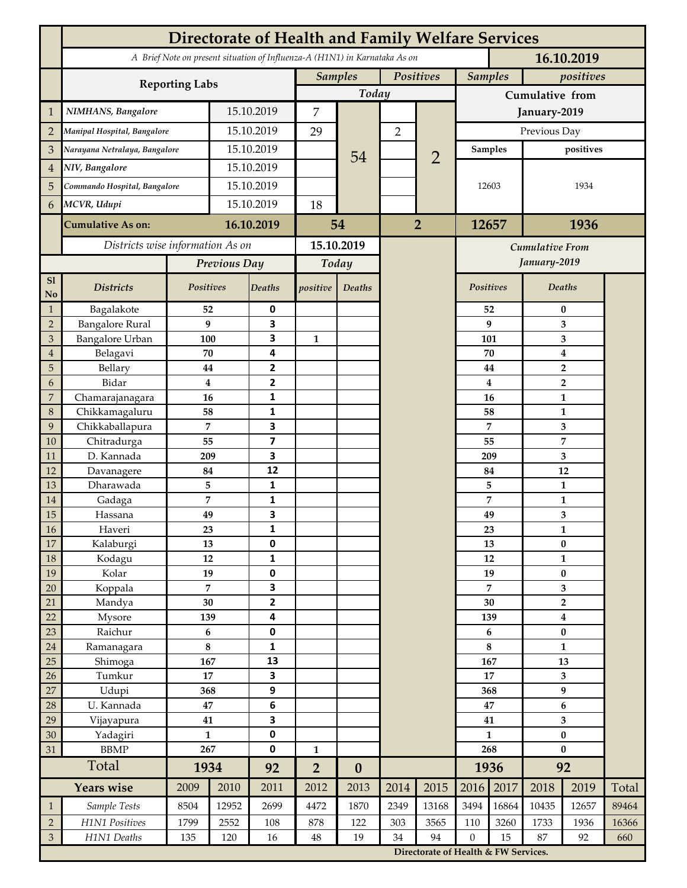|                     | <b>Directorate of Health and Family Welfare Services</b>                                 |                |              |                         |                |                  |                |                                        |                  |          |                                           |              |       |  |
|---------------------|------------------------------------------------------------------------------------------|----------------|--------------|-------------------------|----------------|------------------|----------------|----------------------------------------|------------------|----------|-------------------------------------------|--------------|-------|--|
|                     | A Brief Note on present situation of Influenza-A (H1N1) in Karnataka As on<br>16.10.2019 |                |              |                         |                |                  |                |                                        |                  |          |                                           |              |       |  |
|                     | <b>Reporting Labs</b>                                                                    |                |              |                         | <b>Samples</b> |                  | Positives      |                                        | <b>Samples</b>   |          | positives                                 |              |       |  |
|                     |                                                                                          |                |              |                         | Today          |                  |                |                                        | Cumulative from  |          |                                           |              |       |  |
| $\mathbf{1}$        | NIMHANS, Bangalore                                                                       | 15.10.2019     |              | 7                       |                | $\overline{2}$   |                | January-2019                           |                  |          |                                           |              |       |  |
| $\overline{2}$      | Manipal Hospital, Bangalore                                                              |                |              | 15.10.2019              |                |                  |                |                                        | Previous Day     |          |                                           |              |       |  |
| 3                   | Narayana Netralaya, Bangalore                                                            |                |              | 15.10.2019              |                |                  |                | $\overline{2}$                         | Samples          |          | positives                                 |              |       |  |
| $\overline{4}$      | NIV, Bangalore                                                                           |                | 15.10.2019   |                         |                | 54               |                |                                        | 12603            |          | 1934                                      |              |       |  |
| 5                   | Commando Hospital, Bangalore                                                             |                | 15.10.2019   |                         |                |                  |                |                                        |                  |          |                                           |              |       |  |
| 6                   | MCVR, Udupi                                                                              |                | 15.10.2019   |                         | 18             |                  |                |                                        |                  |          |                                           |              |       |  |
|                     | <b>Cumulative As on:</b>                                                                 |                |              | 16.10.2019              |                | 54               | $\overline{2}$ |                                        | 12657            |          | 1936                                      |              |       |  |
|                     |                                                                                          |                |              | 15.10.2019              |                |                  |                |                                        |                  |          |                                           |              |       |  |
|                     | Districts wise information As on                                                         |                |              |                         |                |                  |                | <b>Cumulative From</b><br>January-2019 |                  |          |                                           |              |       |  |
| S1                  |                                                                                          |                | Previous Day |                         | Today          |                  |                |                                        |                  |          |                                           |              |       |  |
| No                  | <b>Districts</b>                                                                         | Positives      |              | Deaths                  | positive       | Deaths           |                |                                        | Positives        |          |                                           | Deaths       |       |  |
| $\mathbf{1}$        | Bagalakote                                                                               | 52             |              | 0                       |                |                  |                |                                        |                  | 52       | $\bf{0}$                                  |              |       |  |
| $\overline{2}$      | <b>Bangalore Rural</b>                                                                   | 9              |              | 3                       |                |                  |                |                                        | 9                | 3        |                                           |              |       |  |
| 3                   | <b>Bangalore Urban</b>                                                                   | 100            |              | 3                       | $\mathbf{1}$   |                  |                |                                        |                  | 101      | 3                                         |              |       |  |
| $\overline{4}$<br>5 | Belagavi                                                                                 | 70             |              | 4<br>2                  |                |                  |                |                                        |                  | 70       | $\boldsymbol{4}$                          |              |       |  |
| 6                   | Bellary<br>Bidar                                                                         | 44<br>$\bf{4}$ |              | $\mathbf{2}$            |                |                  |                |                                        |                  | 44<br>4  | $\overline{\mathbf{2}}$<br>$\overline{2}$ |              |       |  |
| 7                   | Chamarajanagara                                                                          | 16             |              | 1                       |                |                  |                |                                        |                  | 16       | 1                                         |              |       |  |
| 8                   | Chikkamagaluru                                                                           | 58             |              | 1                       |                |                  |                |                                        |                  | 58       |                                           | 1            |       |  |
| 9                   | Chikkaballapura                                                                          | 7              |              | 3                       |                |                  |                |                                        |                  | 7        |                                           | 3            |       |  |
| 10                  | Chitradurga                                                                              | 55             |              | $\overline{\mathbf{z}}$ |                |                  |                |                                        |                  | 55       |                                           | 7            |       |  |
| 11                  | D. Kannada                                                                               | 209            |              | 3                       |                |                  |                |                                        |                  | 209      |                                           | 3            |       |  |
| 12                  | Davanagere                                                                               | 84             |              | 12                      |                |                  |                |                                        |                  | 84       |                                           | 12           |       |  |
| 13                  | Dharawada                                                                                | 5              |              | $\mathbf{1}$            |                |                  |                |                                        |                  | 5        |                                           | $\mathbf{1}$ |       |  |
| 14                  | Gadaga                                                                                   | 7              |              | 1                       |                |                  |                |                                        |                  | 7        |                                           | 1            |       |  |
| 15                  | Hassana                                                                                  | 49             |              | 3                       |                |                  |                |                                        |                  | 49       |                                           | 3            |       |  |
| <b>16</b><br>17     | Haveri<br>Kalaburgi                                                                      | 23<br>13       |              | 1<br>0                  |                |                  |                |                                        |                  | 23<br>13 | 1<br>$\pmb{0}$                            |              |       |  |
| 18                  | Kodagu                                                                                   | 12             |              | $\mathbf{1}$            |                |                  |                |                                        |                  | 12       | $\mathbf{1}$                              |              |       |  |
| 19                  | Kolar                                                                                    | 19             |              | 0                       |                |                  |                |                                        |                  | 19       |                                           | $\pmb{0}$    |       |  |
| 20                  | Koppala                                                                                  | $\overline{7}$ |              | 3                       |                |                  |                |                                        |                  | 7        |                                           | 3            |       |  |
| 21                  | Mandya                                                                                   | $30\,$         |              | $\mathbf{2}$            |                |                  |                |                                        |                  | 30       | $\mathbf 2$                               |              |       |  |
| 22                  | Mysore                                                                                   | 139            |              | 4                       |                |                  |                |                                        |                  | 139      | $\boldsymbol{4}$                          |              |       |  |
| 23                  | Raichur                                                                                  | $\bf 6$        |              | $\pmb{0}$               |                |                  |                |                                        |                  | 6        | $\pmb{0}$                                 |              |       |  |
| $24\,$              | Ramanagara                                                                               | 8              |              | 1                       |                |                  |                |                                        |                  | 8        | $\mathbf{1}$                              |              |       |  |
| 25                  | Shimoga                                                                                  | 167            |              | 13                      |                |                  |                |                                        | 167              |          | 13                                        |              |       |  |
| 26                  | Tumkur                                                                                   | 17<br>368      |              | 3                       |                |                  |                |                                        | 17               |          | 3<br>$\boldsymbol{9}$                     |              |       |  |
| 27<br>28            | Udupi<br>U. Kannada                                                                      | $\bf 47$       |              | 9<br>$\bf 6$            |                |                  |                |                                        | 368<br>47        |          | $\bf 6$                                   |              |       |  |
| 29                  | Vijayapura                                                                               | 41             |              | 3                       |                |                  |                |                                        | 41               |          | $\overline{\mathbf{3}}$                   |              |       |  |
| 30                  | Yadagiri                                                                                 | $\mathbf{1}$   |              | 0                       |                |                  |                |                                        | $\mathbf{1}$     |          | $\pmb{0}$                                 |              |       |  |
| 31                  | <b>BBMP</b>                                                                              | 267            |              | 0                       | $\mathbf{1}$   |                  |                |                                        | 268              |          | $\bf{0}$                                  |              |       |  |
|                     | Total                                                                                    | 1934           |              | 92                      | $\overline{2}$ | $\boldsymbol{0}$ |                |                                        | 1936             |          | 92                                        |              |       |  |
|                     | <b>Years wise</b>                                                                        | 2009           | 2010         | 2011                    | 2012           | 2013             | 2014           | 2015                                   | 2016             | 2017     | 2018                                      | 2019         | Total |  |
| $\mathbf{1}$        | Sample Tests                                                                             | 8504           | 12952        | 2699                    | 4472           | 1870             | 2349           | 13168                                  | 3494             | 16864    | 10435                                     | 12657        | 89464 |  |
| $\overline{2}$      | H1N1 Positives                                                                           | 1799           | 2552         | 108                     | 878            | 122              | 303            | 3565                                   | 110              | 3260     | 1733                                      | 1936         | 16366 |  |
| $\mathfrak{Z}$      | H1N1 Deaths                                                                              | 135            | 120          | 16                      | $48\,$         | 19               | 34             | 94                                     | $\boldsymbol{0}$ | 15       | 87                                        | 92           | 660   |  |
|                     |                                                                                          |                |              |                         |                |                  |                | Directorate of Health & FW Services.   |                  |          |                                           |              |       |  |